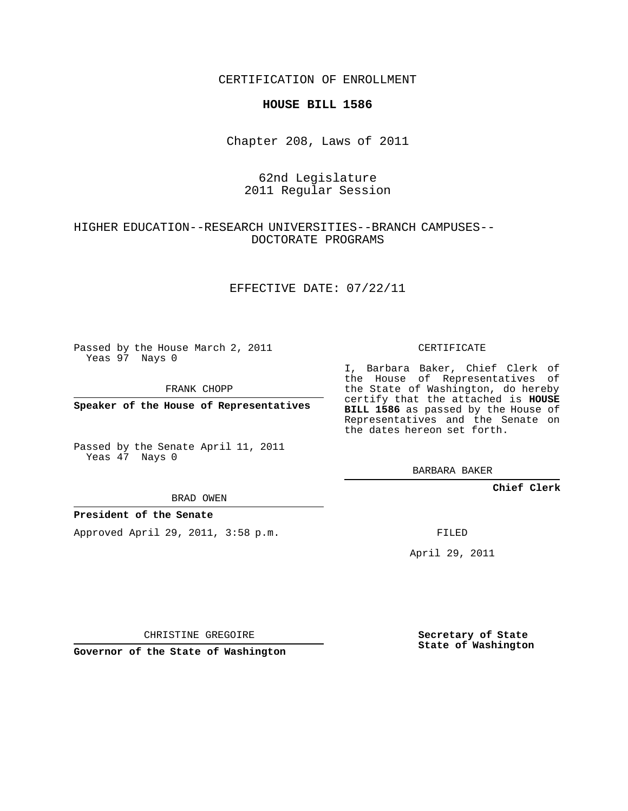CERTIFICATION OF ENROLLMENT

### **HOUSE BILL 1586**

Chapter 208, Laws of 2011

## 62nd Legislature 2011 Regular Session

# HIGHER EDUCATION--RESEARCH UNIVERSITIES--BRANCH CAMPUSES-- DOCTORATE PROGRAMS

### EFFECTIVE DATE: 07/22/11

Passed by the House March 2, 2011 Yeas 97 Nays 0

FRANK CHOPP

**Speaker of the House of Representatives**

Passed by the Senate April 11, 2011 Yeas 47 Nays 0

#### BRAD OWEN

### **President of the Senate**

Approved April 29, 2011, 3:58 p.m.

CERTIFICATE

I, Barbara Baker, Chief Clerk of the House of Representatives of the State of Washington, do hereby certify that the attached is **HOUSE BILL 1586** as passed by the House of Representatives and the Senate on the dates hereon set forth.

BARBARA BAKER

**Chief Clerk**

FILED

April 29, 2011

CHRISTINE GREGOIRE

**Governor of the State of Washington**

**Secretary of State State of Washington**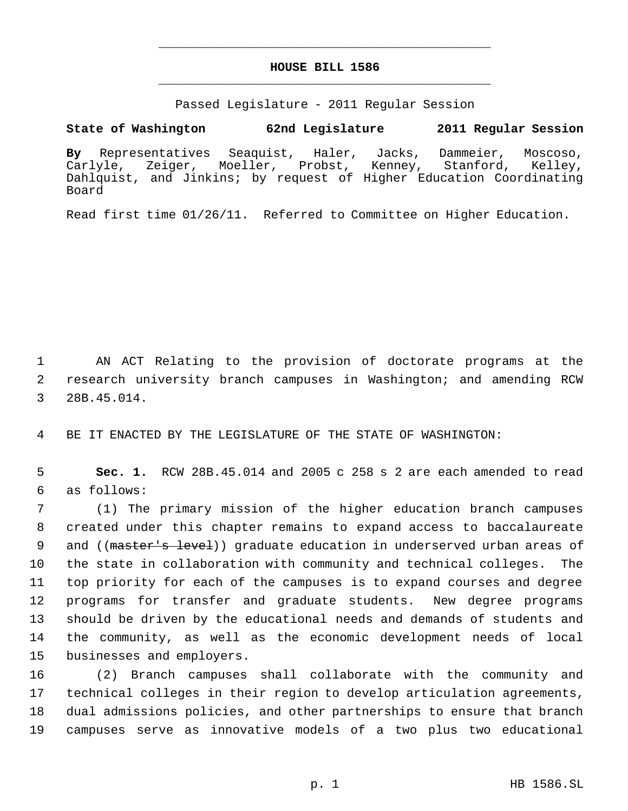# **HOUSE BILL 1586** \_\_\_\_\_\_\_\_\_\_\_\_\_\_\_\_\_\_\_\_\_\_\_\_\_\_\_\_\_\_\_\_\_\_\_\_\_\_\_\_\_\_\_\_\_

\_\_\_\_\_\_\_\_\_\_\_\_\_\_\_\_\_\_\_\_\_\_\_\_\_\_\_\_\_\_\_\_\_\_\_\_\_\_\_\_\_\_\_\_\_

Passed Legislature - 2011 Regular Session

## **State of Washington 62nd Legislature 2011 Regular Session**

**By** Representatives Seaquist, Haler, Jacks, Dammeier, Moscoso, Carlyle, Zeiger, Moeller, Probst, Kenney, Stanford, Kelley, Dahlquist, and Jinkins; by request of Higher Education Coordinating Board

Read first time 01/26/11. Referred to Committee on Higher Education.

 1 AN ACT Relating to the provision of doctorate programs at the 2 research university branch campuses in Washington; and amending RCW 3 28B.45.014.

4 BE IT ENACTED BY THE LEGISLATURE OF THE STATE OF WASHINGTON:

 5 **Sec. 1.** RCW 28B.45.014 and 2005 c 258 s 2 are each amended to read 6 as follows:

 (1) The primary mission of the higher education branch campuses created under this chapter remains to expand access to baccalaureate 9 and ((master's level)) graduate education in underserved urban areas of the state in collaboration with community and technical colleges. The top priority for each of the campuses is to expand courses and degree programs for transfer and graduate students. New degree programs should be driven by the educational needs and demands of students and the community, as well as the economic development needs of local businesses and employers.

 (2) Branch campuses shall collaborate with the community and technical colleges in their region to develop articulation agreements, dual admissions policies, and other partnerships to ensure that branch campuses serve as innovative models of a two plus two educational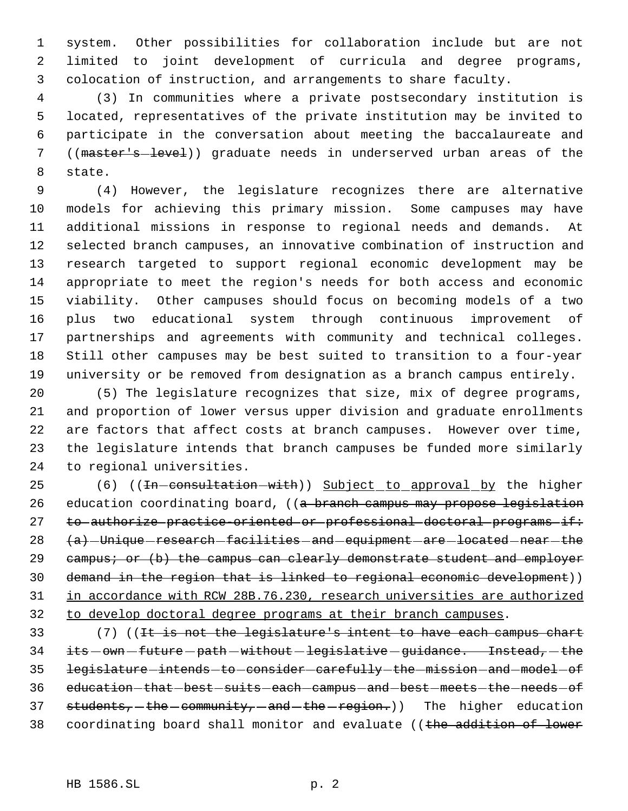system. Other possibilities for collaboration include but are not limited to joint development of curricula and degree programs, colocation of instruction, and arrangements to share faculty.

 (3) In communities where a private postsecondary institution is located, representatives of the private institution may be invited to participate in the conversation about meeting the baccalaureate and 7 ((master's-level)) graduate needs in underserved urban areas of the state.

 (4) However, the legislature recognizes there are alternative models for achieving this primary mission. Some campuses may have additional missions in response to regional needs and demands. At selected branch campuses, an innovative combination of instruction and research targeted to support regional economic development may be appropriate to meet the region's needs for both access and economic viability. Other campuses should focus on becoming models of a two plus two educational system through continuous improvement of partnerships and agreements with community and technical colleges. Still other campuses may be best suited to transition to a four-year university or be removed from designation as a branch campus entirely.

 (5) The legislature recognizes that size, mix of degree programs, and proportion of lower versus upper division and graduate enrollments are factors that affect costs at branch campuses. However over time, the legislature intends that branch campuses be funded more similarly to regional universities.

25 (6) ((<del>In consultation with</del>)) Subject to approval by the higher 26 education coordinating board, ((a branch campus may propose legislation 27 to authorize practice oriented or professional doctoral programs if:  $(a)$  -Unique research facilities and equipment are located near the 29 campus; or (b) the campus can clearly demonstrate student and employer demand in the region that is linked to regional economic development)) in accordance with RCW 28B.76.230, research universities are authorized to develop doctoral degree programs at their branch campuses.

33 (7) ((<del>It is not the legislature's intent to have each campus chart</del> its  $-$  own  $-$  future  $-$  path  $-$  without  $-$  legislative  $-$  guidance. Instead,  $-$  the 35 legislature - intends - to - consider - carefully - the - mission - and - model - of 36 education that best suits each campus and best meets the needs of 37 students, the community, and the region.)) The higher education 38 coordinating board shall monitor and evaluate ((the addition of lower